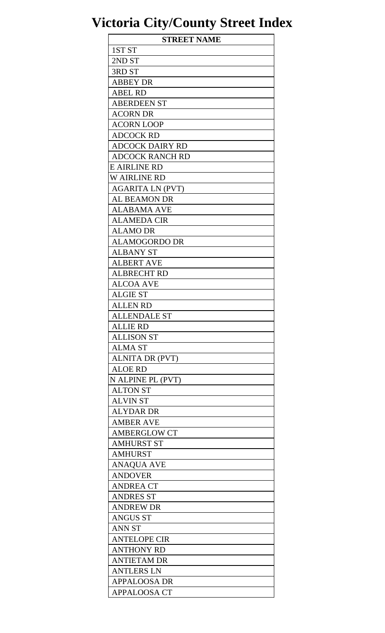| <b>STREET NAME</b>      |
|-------------------------|
| 1ST <sub>ST</sub>       |
| 2ND ST                  |
| 3RD ST                  |
| <b>ABBEY DR</b>         |
| <b>ABEL RD</b>          |
| <b>ABERDEEN ST</b>      |
| <b>ACORN DR</b>         |
| <b>ACORN LOOP</b>       |
| <b>ADCOCK RD</b>        |
| <b>ADCOCK DAIRY RD</b>  |
| ADCOCK RANCH RD         |
| E AIRLINE RD            |
| <b>W AIRLINE RD</b>     |
| <b>AGARITA LN (PVT)</b> |
| <b>AL BEAMON DR</b>     |
| ALABAMA AVE             |
| <b>ALAMEDA CIR</b>      |
| <b>ALAMO DR</b>         |
| <b>ALAMOGORDO DR</b>    |
| <b>ALBANY ST</b>        |
| <b>ALBERT AVE</b>       |
| ALBRECHT RD             |
| <b>ALCOA AVE</b>        |
| <b>ALGIE ST</b>         |
| <b>ALLEN RD</b>         |
| <b>ALLENDALE ST</b>     |
| <b>ALLIE RD</b>         |
| <b>ALLISON ST</b>       |
| <b>ALMA ST</b>          |
| <b>ALNITA DR (PVT)</b>  |
| <b>ALOE RD</b>          |
| N ALPINE PL (PVT)       |
| <b>ALTON ST</b>         |
| <b>ALVIN ST</b>         |
| <b>ALYDAR DR</b>        |
| <b>AMBER AVE</b>        |
| <b>AMBERGLOW CT</b>     |
| <b>AMHURST ST</b>       |
| <b>AMHURST</b>          |
| <b>ANAQUA AVE</b>       |
| <b>ANDOVER</b>          |
| <b>ANDREA CT</b>        |
| <b>ANDRES ST</b>        |
| <b>ANDREW DR</b>        |
| <b>ANGUS ST</b>         |
| <b>ANN ST</b>           |
| <b>ANTELOPE CIR</b>     |
| <b>ANTHONY RD</b>       |
| <b>ANTIETAM DR</b>      |
| <b>ANTLERS LN</b>       |
| APPALOOSA DR            |
| <b>APPALOOSA CT</b>     |
|                         |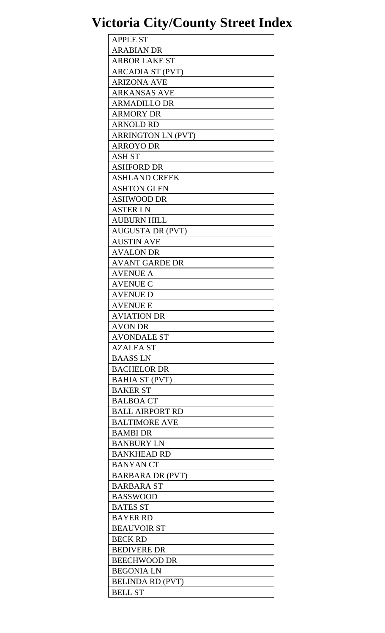| <b>APPLE ST</b>           |
|---------------------------|
| <b>ARABIAN DR</b>         |
| <b>ARBOR LAKE ST</b>      |
| <b>ARCADIA ST (PVT)</b>   |
| <b>ARIZONA AVE</b>        |
| ARKANSAS AVE              |
| <b>ARMADILLO DR</b>       |
| <b>ARMORY DR</b>          |
| <b>ARNOLD RD</b>          |
| <b>ARRINGTON LN (PVT)</b> |
| <b>ARROYO DR</b>          |
| <b>ASH ST</b>             |
| <b>ASHFORD DR</b>         |
| <b>ASHLAND CREEK</b>      |
| <b>ASHTON GLEN</b>        |
| <b>ASHWOOD DR</b>         |
| <b>ASTER LN</b>           |
| <b>AUBURN HILL</b>        |
| <b>AUGUSTA DR (PVT)</b>   |
|                           |
| <b>AUSTIN AVE</b>         |
| <b>AVALON DR</b>          |
| <b>AVANT GARDE DR</b>     |
| <b>AVENUE A</b>           |
| <b>AVENUE C</b>           |
| AVENUE D                  |
| <b>AVENUE E</b>           |
| <b>AVIATION DR</b>        |
| <b>AVON DR</b>            |
| <b>AVONDALE ST</b>        |
| <b>AZALEA ST</b>          |
| <b>BAASSLN</b>            |
| <b>BACHELOR DR</b>        |
| <b>BAHIA ST (PVT)</b>     |
| <b>BAKER ST</b>           |
| <b>BALBOA CT</b>          |
| <b>BALL AIRPORT RD</b>    |
| <b>BALTIMORE AVE</b>      |
| <b>BAMBI DR</b>           |
| <b>BANBURY LN</b>         |
| <b>BANKHEAD RD</b>        |
| <b>BANYAN CT</b>          |
| <b>BARBARA DR (PVT)</b>   |
| <b>BARBARA ST</b>         |
| <b>BASSWOOD</b>           |
| <b>BATES ST</b>           |
| <b>BAYER RD</b>           |
| <b>BEAUVOIR ST</b>        |
| <b>BECK RD</b>            |
| <b>BEDIVERE DR</b>        |
| <b>BEECHWOOD DR</b>       |
| <b>BEGONIA LN</b>         |
| <b>BELINDA RD (PVT)</b>   |
| <b>BELL ST</b>            |
|                           |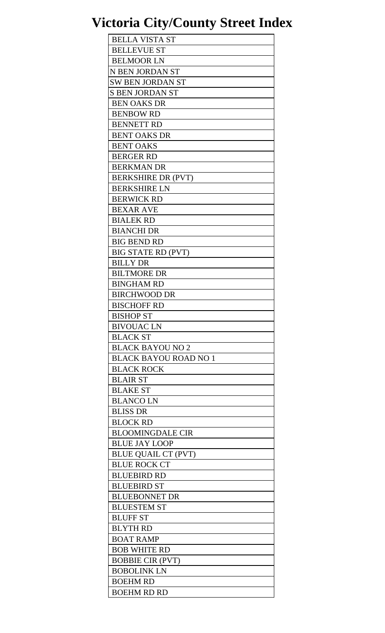| <b>BELLA VISTA ST</b>                             |
|---------------------------------------------------|
| <b>BELLEVUE ST</b>                                |
| <b>BELMOOR LN</b>                                 |
| N BEN JORDAN ST                                   |
| <b>SW BEN JORDAN ST</b>                           |
| <b>S BEN JORDAN ST</b>                            |
| <b>BEN OAKS DR</b>                                |
| <b>BENBOW RD</b>                                  |
|                                                   |
| <b>BENNETT RD</b>                                 |
| <b>BENT OAKS DR</b>                               |
| <b>BENT OAKS</b>                                  |
| <b>BERGER RD</b>                                  |
| <b>BERKMAN DR</b>                                 |
| <b>BERKSHIRE DR (PVT)</b>                         |
| <b>BERKSHIRE LN</b>                               |
| <b>BERWICK RD</b>                                 |
| <b>BEXAR AVE</b>                                  |
| <b>BIALEK RD</b>                                  |
| <b>BIANCHI DR</b>                                 |
| <b>BIG BEND RD</b>                                |
| <b>BIG STATE RD (PVT)</b>                         |
| <b>BILLY DR</b>                                   |
| <b>BILTMORE DR</b>                                |
| <b>BINGHAM RD</b>                                 |
| <b>BIRCHWOOD DR</b>                               |
| <b>BISCHOFF RD</b>                                |
| <b>BISHOP ST</b>                                  |
| <b>BIVOUACLN</b>                                  |
|                                                   |
| <b>BLACK ST</b>                                   |
| <b>BLACK BAYOU NO 2</b>                           |
| <b>BLACK BAYOU ROAD NO 1</b>                      |
| <b>BLACK ROCK</b>                                 |
| <b>BLAIR ST</b>                                   |
| <b>BLAKE ST</b>                                   |
| <b>BLANCOLN</b>                                   |
| <b>BLISS DR</b>                                   |
| <b>BLOCK RD</b>                                   |
| <b>BLOOMINGDALE CIR</b>                           |
| <b>BLUE JAY LOOP</b>                              |
|                                                   |
|                                                   |
| <b>BLUE QUAIL CT (PVT)</b><br><b>BLUE ROCK CT</b> |
|                                                   |
| <b>BLUEBIRD RD</b>                                |
| <b>BLUEBIRD ST</b>                                |
| <b>BLUEBONNET DR</b>                              |
| <b>BLUESTEM ST</b>                                |
| <b>BLUFF ST</b>                                   |
| <b>BLYTH RD</b>                                   |
| <b>BOAT RAMP</b>                                  |
| <b>BOB WHITE RD</b>                               |
| <b>BOBBIE CIR (PVT)</b>                           |
| <b>BOBOLINK LN</b>                                |
| <b>BOEHM RD</b><br><b>BOEHM RD RD</b>             |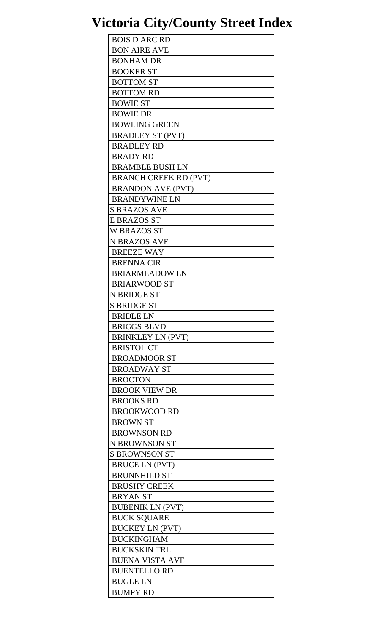| <b>BOIS D ARC RD</b>         |
|------------------------------|
| <b>BON AIRE AVE</b>          |
| <b>BONHAM DR</b>             |
| <b>BOOKER ST</b>             |
| <b>BOTTOM ST</b>             |
| <b>BOTTOM RD</b>             |
| <b>BOWIE ST</b>              |
| <b>BOWIE DR</b>              |
| <b>BOWLING GREEN</b>         |
|                              |
| <b>BRADLEY ST (PVT)</b>      |
| <b>BRADLEY RD</b>            |
| <b>BRADY RD</b>              |
| <b>BRAMBLE BUSH LN</b>       |
| <b>BRANCH CREEK RD (PVT)</b> |
| <b>BRANDON AVE (PVT)</b>     |
| <b>BRANDYWINE LN</b>         |
| <b>S BRAZOS AVE</b>          |
| <b>E BRAZOS ST</b>           |
| <b>W BRAZOS ST</b>           |
| <b>N BRAZOS AVE</b>          |
| <b>BREEZE WAY</b>            |
| <b>BRENNA CIR</b>            |
| <b>BRIARMEADOW LN</b>        |
| <b>BRIARWOOD ST</b>          |
| N BRIDGE ST                  |
| <b>S BRIDGE ST</b>           |
| <b>BRIDLE LN</b>             |
| <b>BRIGGS BLVD</b>           |
|                              |
| <b>BRINKLEY LN (PVT)</b>     |
| <b>BRISTOL CT</b>            |
| <b>BROADMOOR ST</b>          |
| <b>BROADWAY ST</b>           |
| <b>BROCTON</b>               |
| <b>BROOK VIEW DR</b>         |
| <b>BROOKS RD</b>             |
| <b>BROOKWOOD RD</b>          |
| <b>BROWN ST</b>              |
| <b>BROWNSON RD</b>           |
| N BROWNSON ST                |
| <b>S BROWNSON ST</b>         |
| <b>BRUCE LN (PVT)</b>        |
| <b>BRUNNHILD ST</b>          |
| <b>BRUSHY CREEK</b>          |
| <b>BRYAN ST</b>              |
| <b>BUBENIK LN (PVT)</b>      |
| <b>BUCK SQUARE</b>           |
| <b>BUCKEY LN (PVT)</b>       |
| <b>BUCKINGHAM</b>            |
|                              |
| <b>BUCKSKIN TRL</b>          |
| <b>BUENA VISTA AVE</b>       |
| <b>BUENTELLO RD</b>          |
| <b>BUGLE LN</b>              |
| <b>BUMPY RD</b>              |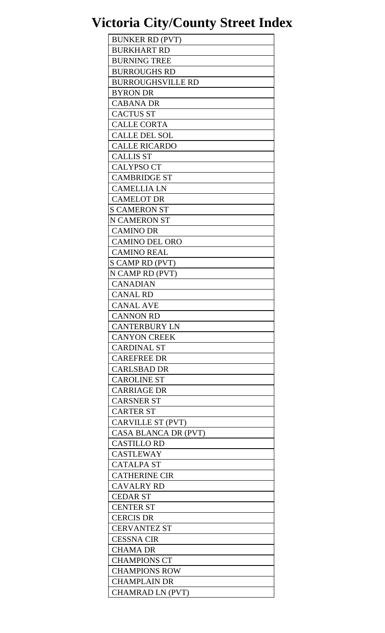| <b>BUNKER RD (PVT)</b>   |
|--------------------------|
| <b>BURKHART RD</b>       |
| <b>BURNING TREE</b>      |
| <b>BURROUGHS RD</b>      |
| <b>BURROUGHSVILLE RD</b> |
| <b>BYRON DR</b>          |
| <b>CABANA DR</b>         |
| <b>CACTUS ST</b>         |
| <b>CALLE CORTA</b>       |
| <b>CALLE DEL SOL</b>     |
| <b>CALLE RICARDO</b>     |
| <b>CALLIS ST</b>         |
| <b>CALYPSO CT</b>        |
| <b>CAMBRIDGE ST</b>      |
| <b>CAMELLIA LN</b>       |
| <b>CAMELOT DR</b>        |
| <b>S CAMERON ST</b>      |
| <b>N CAMERON ST</b>      |
| <b>CAMINO DR</b>         |
| <b>CAMINO DEL ORO</b>    |
| <b>CAMINO REAL</b>       |
| S CAMP RD (PVT)          |
| N CAMP RD (PVT)          |
| <b>CANADIAN</b>          |
| <b>CANAL RD</b>          |
| <b>CANAL AVE</b>         |
| <b>CANNON RD</b>         |
| <b>CANTERBURY LN</b>     |
| <b>CANYON CREEK</b>      |
| <b>CARDINAL ST</b>       |
| <b>CAREFREE DR</b>       |
| <b>CARLSBAD DR</b>       |
| <b>CAROLINE ST</b>       |
| <b>CARRIAGE DR</b>       |
| <b>CARSNER ST</b>        |
| <b>CARTER ST</b>         |
| CARVILLE ST (PVT)        |
| CASA BLANCA DR (PVT)     |
| <b>CASTILLO RD</b>       |
| <b>CASTLEWAY</b>         |
| <b>CATALPA ST</b>        |
| <b>CATHERINE CIR</b>     |
| <b>CAVALRY RD</b>        |
| <b>CEDAR ST</b>          |
| <b>CENTER ST</b>         |
| <b>CERCIS DR</b>         |
| <b>CERVANTEZ ST</b>      |
| <b>CESSNA CIR</b>        |
| <b>CHAMA DR</b>          |
| <b>CHAMPIONS CT</b>      |
| <b>CHAMPIONS ROW</b>     |
| <b>CHAMPLAIN DR</b>      |
| <b>CHAMRAD LN (PVT)</b>  |
|                          |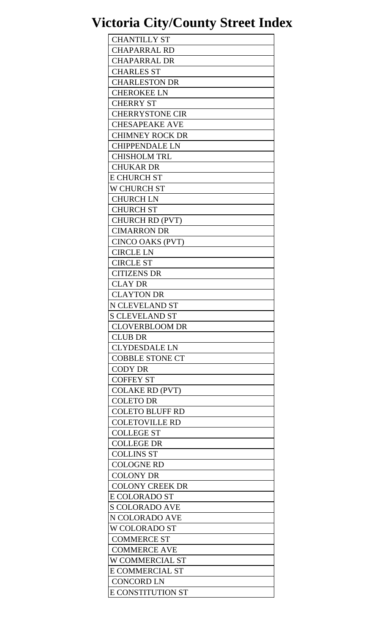| <b>CHANTILLY ST</b>      |
|--------------------------|
| <b>CHAPARRAL RD</b>      |
| <b>CHAPARRAL DR</b>      |
| <b>CHARLES ST</b>        |
| <b>CHARLESTON DR</b>     |
| <b>CHEROKEE LN</b>       |
| <b>CHERRY ST</b>         |
| <b>CHERRYSTONE CIR</b>   |
|                          |
| <b>CHESAPEAKE AVE</b>    |
| <b>CHIMNEY ROCK DR</b>   |
| <b>CHIPPENDALE LN</b>    |
| <b>CHISHOLM TRL</b>      |
| <b>CHUKAR DR</b>         |
| <b>E CHURCH ST</b>       |
| W CHURCH ST              |
| <b>CHURCH LN</b>         |
| <b>CHURCH ST</b>         |
| <b>CHURCH RD (PVT)</b>   |
| <b>CIMARRON DR</b>       |
| CINCO OAKS (PVT)         |
| <b>CIRCLE LN</b>         |
| <b>CIRCLE ST</b>         |
| <b>CITIZENS DR</b>       |
| <b>CLAY DR</b>           |
| <b>CLAYTON DR</b>        |
| N CLEVELAND ST           |
| <b>S CLEVELAND ST</b>    |
| <b>CLOVERBLOOM DR</b>    |
| <b>CLUB DR</b>           |
| <b>CLYDESDALE LN</b>     |
| <b>COBBLE STONE CT</b>   |
| <b>CODY DR</b>           |
| <b>COFFEY ST</b>         |
|                          |
| <b>COLAKE RD (PVT)</b>   |
| <b>COLETO DR</b>         |
| <b>COLETO BLUFF RD</b>   |
| <b>COLETOVILLE RD</b>    |
| <b>COLLEGE ST</b>        |
| <b>COLLEGE DR</b>        |
| <b>COLLINS ST</b>        |
| <b>COLOGNE RD</b>        |
| <b>COLONY DR</b>         |
| <b>COLONY CREEK DR</b>   |
| E COLORADO ST            |
| <b>S COLORADO AVE</b>    |
| N COLORADO AVE           |
| W COLORADO ST            |
| <b>COMMERCE ST</b>       |
| <b>COMMERCE AVE</b>      |
| W COMMERCIAL ST          |
| <b>E COMMERCIAL ST</b>   |
| <b>CONCORD LN</b>        |
| <b>E CONSTITUTION ST</b> |
|                          |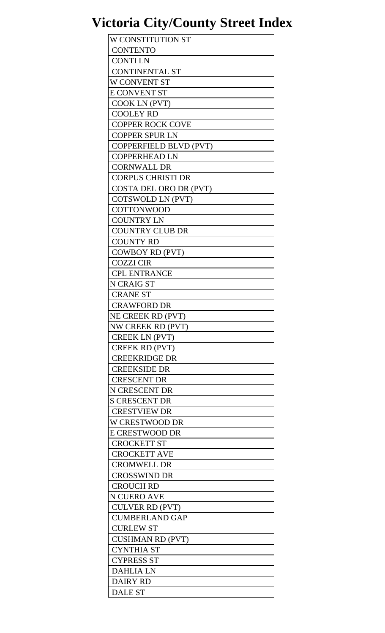| W CONSTITUTION ST        |
|--------------------------|
| <b>CONTENTO</b>          |
| <b>CONTILN</b>           |
| <b>CONTINENTAL ST</b>    |
| W CONVENT ST             |
| <b>E CONVENT ST</b>      |
| COOK LN (PVT)            |
| <b>COOLEY RD</b>         |
| <b>COPPER ROCK COVE</b>  |
| <b>COPPER SPUR LN</b>    |
| COPPERFIELD BLVD (PVT)   |
| <b>COPPERHEAD LN</b>     |
| <b>CORNWALL DR</b>       |
|                          |
| <b>CORPUS CHRISTI DR</b> |
| COSTA DEL ORO DR (PVT)   |
| COTSWOLD LN (PVT)        |
| <b>COTTONWOOD</b>        |
| <b>COUNTRY LN</b>        |
| <b>COUNTRY CLUB DR</b>   |
| <b>COUNTY RD</b>         |
| <b>COWBOY RD (PVT)</b>   |
| <b>COZZI CIR</b>         |
| <b>CPL ENTRANCE</b>      |
| <b>N CRAIG ST</b>        |
| <b>CRANE ST</b>          |
| <b>CRAWFORD DR</b>       |
| NE CREEK RD (PVT)        |
| NW CREEK RD (PVT)        |
| <b>CREEK LN (PVT)</b>    |
| <b>CREEK RD (PVT)</b>    |
| <b>CREEKRIDGE DR</b>     |
| <b>CREEKSIDE DR</b>      |
| <b>CRESCENT DR</b>       |
| N CRESCENT DR            |
| <b>S CRESCENT DR</b>     |
| <b>CRESTVIEW DR</b>      |
| W CRESTWOOD DR           |
| <b>E CRESTWOOD DR</b>    |
| <b>CROCKETT ST</b>       |
| <b>CROCKETT AVE</b>      |
| <b>CROMWELL DR</b>       |
| <b>CROSSWIND DR</b>      |
| <b>CROUCH RD</b>         |
| N CUERO AVE              |
| <b>CULVER RD (PVT)</b>   |
| <b>CUMBERLAND GAP</b>    |
| <b>CURLEW ST</b>         |
| <b>CUSHMAN RD (PVT)</b>  |
| <b>CYNTHIA ST</b>        |
| <b>CYPRESS ST</b>        |
| <b>DAHLIA LN</b>         |
| <b>DAIRY RD</b>          |
| <b>DALE ST</b>           |
|                          |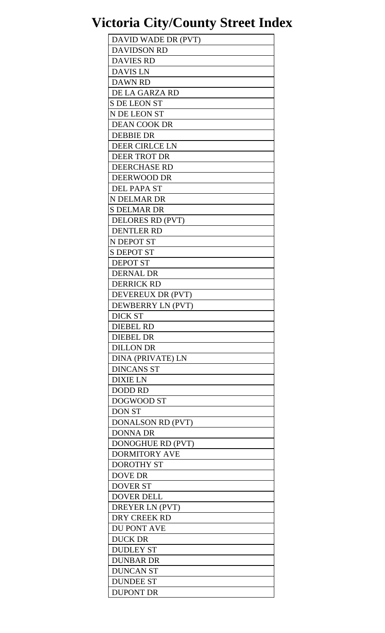| DAVID WADE DR (PVT)      |
|--------------------------|
| <b>DAVIDSON RD</b>       |
| <b>DAVIES RD</b>         |
| <b>DAVIS LN</b>          |
| <b>DAWN RD</b>           |
| DE LA GARZA RD           |
| <b>S DE LEON ST</b>      |
| N DE LEON ST             |
| <b>DEAN COOK DR</b>      |
| <b>DEBBIE DR</b>         |
| <b>DEER CIRLCE LN</b>    |
| <b>DEER TROT DR</b>      |
| <b>DEERCHASE RD</b>      |
| DEERWOOD DR              |
| <b>DEL PAPA ST</b>       |
| N DELMAR DR              |
| <b>S DELMAR DR</b>       |
| DELORES RD (PVT)         |
| <b>DENTLER RD</b>        |
|                          |
| N DEPOT ST               |
| <b>S DEPOT ST</b>        |
| <b>DEPOT ST</b>          |
| <b>DERNAL DR</b>         |
| <b>DERRICK RD</b>        |
| DEVEREUX DR (PVT)        |
| DEWBERRY LN (PVT)        |
| <b>DICK ST</b>           |
| <b>DIEBEL RD</b>         |
| <b>DIEBEL DR</b>         |
| <b>DILLON DR</b>         |
| <b>DINA (PRIVATE) LN</b> |
| <b>DINCANS ST</b>        |
| <b>DIXIE LN</b>          |
| <b>DODD RD</b>           |
| DOGWOOD ST               |
| <b>DON ST</b>            |
| <b>DONALSON RD (PVT)</b> |
| <b>DONNA DR</b>          |
| DONOGHUE RD (PVT)        |
| <b>DORMITORY AVE</b>     |
| <b>DOROTHY ST</b>        |
| <b>DOVE DR</b>           |
| <b>DOVER ST</b>          |
| <b>DOVER DELL</b>        |
| DREYER LN (PVT)          |
| DRY CREEK RD             |
| DU PONT AVE              |
| <b>DUCK DR</b>           |
| <b>DUDLEY ST</b>         |
| <b>DUNBAR DR</b>         |
| <b>DUNCAN ST</b>         |
| <b>DUNDEE ST</b>         |
| <b>DUPONT DR</b>         |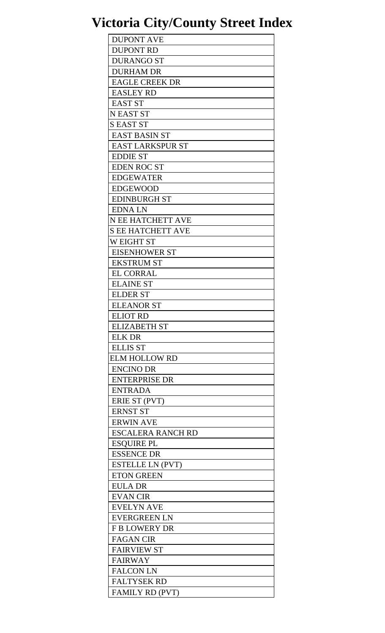| <b>DUPONT AVE</b>        |
|--------------------------|
| <b>DUPONT RD</b>         |
| <b>DURANGO ST</b>        |
| <b>DURHAM DR</b>         |
| <b>EAGLE CREEK DR</b>    |
| <b>EASLEY RD</b>         |
| <b>EAST ST</b>           |
| <b>N EAST ST</b>         |
| <b>S EAST ST</b>         |
|                          |
| <b>EAST BASIN ST</b>     |
| <b>EAST LARKSPUR ST</b>  |
| <b>EDDIE ST</b>          |
| <b>EDEN ROC ST</b>       |
| <b>EDGEWATER</b>         |
| <b>EDGEWOOD</b>          |
| <b>EDINBURGH ST</b>      |
| <b>EDNALN</b>            |
| <b>N EE HATCHETT AVE</b> |
| <b>S EE HATCHETT AVE</b> |
| W EIGHT ST               |
| <b>EISENHOWER ST</b>     |
| <b>EKSTRUM ST</b>        |
| <b>EL CORRAL</b>         |
| <b>ELAINE ST</b>         |
| <b>ELDER ST</b>          |
| <b>ELEANOR ST</b>        |
| <b>ELIOT RD</b>          |
| <b>ELIZABETH ST</b>      |
| <b>ELK DR</b>            |
| <b>ELLIS ST</b>          |
| <b>ELM HOLLOW RD</b>     |
| <b>ENCINO DR</b>         |
| <b>ENTERPRISE DR</b>     |
| <b>ENTRADA</b>           |
|                          |
| ERIE ST (PVT)            |
| <b>ERNST ST</b>          |
| <b>ERWIN AVE</b>         |
| <b>ESCALERA RANCH RD</b> |
| <b>ESQUIRE PL</b>        |
| <b>ESSENCE DR</b>        |
| <b>ESTELLE LN (PVT)</b>  |
| <b>ETON GREEN</b>        |
| <b>EULA DR</b>           |
| <b>EVAN CIR</b>          |
| <b>EVELYN AVE</b>        |
| <b>EVERGREEN LN</b>      |
| <b>F B LOWERY DR</b>     |
| <b>FAGAN CIR</b>         |
| <b>FAIRVIEW ST</b>       |
| <b>FAIRWAY</b>           |
| <b>FALCON LN</b>         |
| <b>FALTYSEK RD</b>       |
| <b>FAMILY RD (PVT)</b>   |
|                          |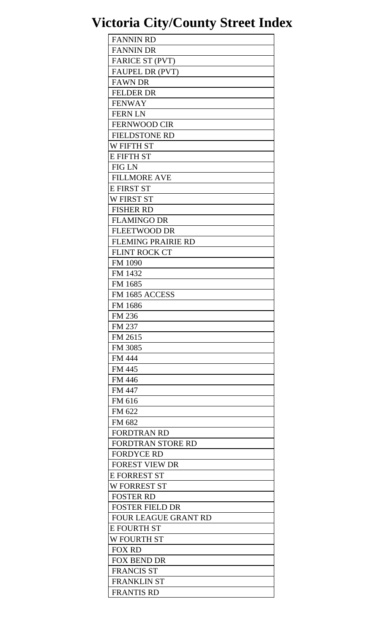| <b>FANNIN RD</b>            |
|-----------------------------|
| <b>FANNIN DR</b>            |
| FARICE ST (PVT)             |
| <b>FAUPEL DR (PVT)</b>      |
| <b>FAWN DR</b>              |
| <b>FELDER DR</b>            |
| <b>FENWAY</b>               |
| <b>FERNLN</b>               |
| <b>FERNWOOD CIR</b>         |
| <b>FIELDSTONE RD</b>        |
| <b>W FIFTH ST</b>           |
| <b>E FIFTH ST</b>           |
|                             |
| <b>FIG LN</b>               |
| <b>FILLMORE AVE</b>         |
| <b>E FIRST ST</b>           |
| <b>W FIRST ST</b>           |
| <b>FISHER RD</b>            |
| <b>FLAMINGO DR</b>          |
| <b>FLEETWOOD DR</b>         |
| <b>FLEMING PRAIRIE RD</b>   |
| <b>FLINT ROCK CT</b>        |
| <b>FM 1090</b>              |
| FM 1432                     |
| FM 1685                     |
| FM 1685 ACCESS              |
| FM 1686                     |
| FM 236                      |
| FM 237                      |
| FM 2615                     |
| FM 3085                     |
| <b>FM 444</b>               |
| FM 445                      |
| <b>FM 446</b>               |
| FM 447                      |
| FM 616                      |
| FM 622                      |
|                             |
| FM 682                      |
| <b>FORDTRAN RD</b>          |
| <b>FORDTRAN STORE RD</b>    |
| <b>FORDYCE RD</b>           |
| <b>FOREST VIEW DR</b>       |
| <b>E FORREST ST</b>         |
| <b>W FORREST ST</b>         |
| <b>FOSTER RD</b>            |
| <b>FOSTER FIELD DR</b>      |
| <b>FOUR LEAGUE GRANT RD</b> |
| <b>E FOURTH ST</b>          |
| <b>W FOURTH ST</b>          |
| <b>FOX RD</b>               |
| <b>FOX BEND DR</b>          |
| <b>FRANCIS ST</b>           |
| <b>FRANKLIN ST</b>          |
| <b>FRANTIS RD</b>           |
|                             |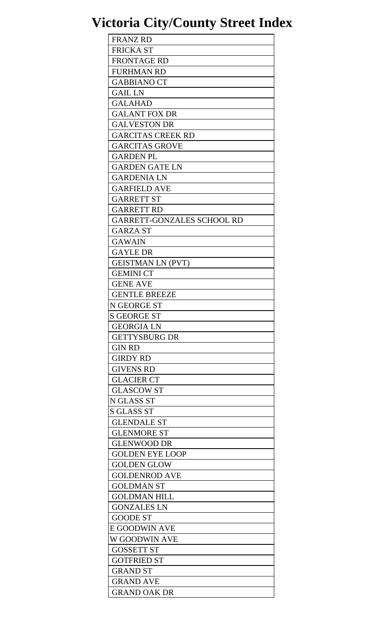| <b>FRANZ RD</b>            |
|----------------------------|
| <b>FRICKA ST</b>           |
| <b>FRONTAGE RD</b>         |
| <b>FURHMAN RD</b>          |
| <b>GABBIANO CT</b>         |
| <b>GAIL LN</b>             |
| <b>GALAHAD</b>             |
| <b>GALANT FOX DR</b>       |
| <b>GALVESTON DR</b>        |
| <b>GARCITAS CREEK RD</b>   |
| <b>GARCITAS GROVE</b>      |
| <b>GARDEN PL</b>           |
|                            |
| <b>GARDEN GATE LN</b>      |
| <b>GARDENIA LN</b>         |
| <b>GARFIELD AVE</b>        |
| <b>GARRETT ST</b>          |
| <b>GARRETT RD</b>          |
| GARRETT-GONZALES SCHOOL RD |
| <b>GARZA ST</b>            |
| <b>GAWAIN</b>              |
| <b>GAYLE DR</b>            |
| <b>GEISTMAN LN (PVT)</b>   |
| <b>GEMINI CT</b>           |
| <b>GENE AVE</b>            |
| <b>GENTLE BREEZE</b>       |
| N GEORGE ST                |
| <b>S GEORGE ST</b>         |
| <b>GEORGIA LN</b>          |
| <b>GETTYSBURG DR</b>       |
| <b>GIN RD</b>              |
| <b>GIRDY RD</b>            |
| <b>GIVENS RD</b>           |
| <b>GLACIER CT</b>          |
| <b>GLASCOW ST</b>          |
| N GLASS ST                 |
| <b>S GLASS ST</b>          |
| <b>GLENDALE ST</b>         |
| <b>GLENMORE ST</b>         |
| <b>GLENWOOD DR</b>         |
|                            |
| <b>GOLDEN EYE LOOP</b>     |
| <b>GOLDEN GLOW</b>         |
| <b>GOLDENROD AVE</b>       |
| <b>GOLDMAN ST</b>          |
| <b>GOLDMAN HILL</b>        |
| <b>GONZALES LN</b>         |
| <b>GOODE ST</b>            |
| <b>E GOODWIN AVE</b>       |
| W GOODWIN AVE              |
| <b>GOSSETT ST</b>          |
| <b>GOTFRIED ST</b>         |
| <b>GRAND ST</b>            |
| <b>GRAND AVE</b>           |
| <b>GRAND OAK DR</b>        |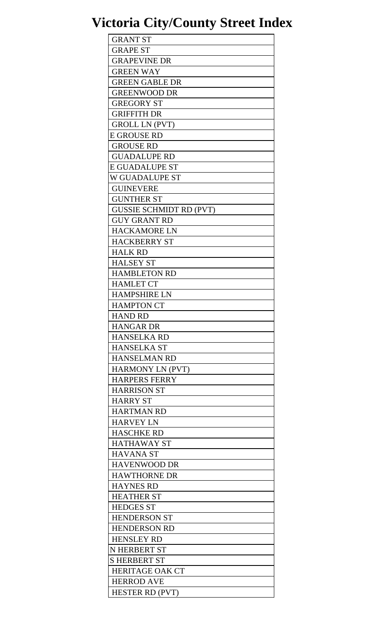| <b>GRANT ST</b>                           |
|-------------------------------------------|
| <b>GRAPE ST</b>                           |
| <b>GRAPEVINE DR</b>                       |
| <b>GREEN WAY</b>                          |
| <b>GREEN GABLE DR</b>                     |
| <b>GREENWOOD DR</b>                       |
| <b>GREGORY ST</b>                         |
| <b>GRIFFITH DR</b>                        |
| <b>GROLL LN (PVT)</b>                     |
| <b>E GROUSE RD</b>                        |
| <b>GROUSE RD</b>                          |
| <b>GUADALUPE RD</b>                       |
| <b>E GUADALUPE ST</b>                     |
| W GUADALUPE ST                            |
| <b>GUINEVERE</b>                          |
| <b>GUNTHER ST</b>                         |
| <b>GUSSIE SCHMIDT RD (PVT)</b>            |
| <b>GUY GRANT RD</b>                       |
| <b>HACKAMORE LN</b>                       |
|                                           |
| <b>HACKBERRY ST</b>                       |
| <b>HALK RD</b><br><b>HALSEY ST</b>        |
|                                           |
| <b>HAMBLETON RD</b>                       |
| <b>HAMLET CT</b>                          |
| <b>HAMPSHIRE LN</b>                       |
| <b>HAMPTON CT</b>                         |
| <b>HAND RD</b>                            |
| <b>HANGAR DR</b>                          |
| <b>HANSELKA RD</b>                        |
| <b>HANSELKA ST</b><br><b>HANSELMAN RD</b> |
|                                           |
| <b>HARMONY LN (PVT)</b>                   |
| <b>HARPERS FERRY</b>                      |
| <b>HARRISON ST</b>                        |
| <b>HARRY ST</b>                           |
| <b>HARTMAN RD</b>                         |
| <b>HARVEY LN</b>                          |
| <b>HASCHKE RD</b>                         |
| <b>HATHAWAY ST</b>                        |
| <b>HAVANA ST</b>                          |
| <b>HAVENWOOD DR</b>                       |
| <b>HAWTHORNE DR</b>                       |
| <b>HAYNES RD</b>                          |
| <b>HEATHER ST</b>                         |
| <b>HEDGES ST</b>                          |
| <b>HENDERSON ST</b>                       |
| <b>HENDERSON RD</b>                       |
| <b>HENSLEY RD</b>                         |
| N HERBERT ST                              |
| <b>SHERBERT ST</b>                        |
| <b>HERITAGE OAK CT</b>                    |
| <b>HERROD AVE</b>                         |
| <b>HESTER RD (PVT)</b>                    |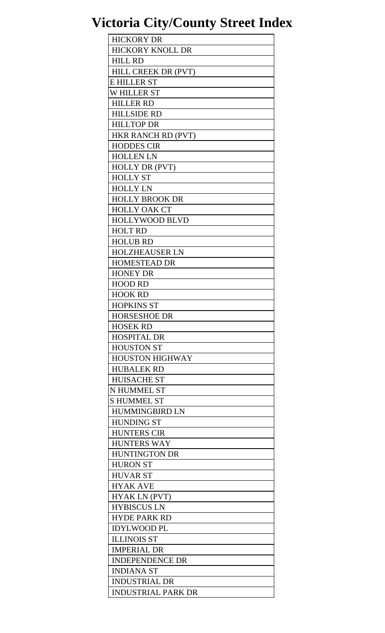| <b>HICKORY DR</b>         |
|---------------------------|
| <b>HICKORY KNOLL DR</b>   |
| <b>HILL RD</b>            |
| HILL CREEK DR (PVT)       |
| <b>E HILLER ST</b>        |
| <b>WHILLER ST</b>         |
| <b>HILLER RD</b>          |
| <b>HILLSIDE RD</b>        |
| <b>HILLTOP DR</b>         |
| HKR RANCH RD (PVT)        |
| <b>HODDES CIR</b>         |
|                           |
| <b>HOLLEN LN</b>          |
| <b>HOLLY DR (PVT)</b>     |
| <b>HOLLY ST</b>           |
| <b>HOLLY LN</b>           |
| <b>HOLLY BROOK DR</b>     |
| <b>HOLLY OAK CT</b>       |
| <b>HOLLYWOOD BLVD</b>     |
| <b>HOLT RD</b>            |
| <b>HOLUB RD</b>           |
| <b>HOLZHEAUSER LN</b>     |
| <b>HOMESTEAD DR</b>       |
| <b>HONEY DR</b>           |
| <b>HOOD RD</b>            |
| <b>HOOK RD</b>            |
| <b>HOPKINS ST</b>         |
| <b>HORSESHOE DR</b>       |
| <b>HOSEK RD</b>           |
| <b>HOSPITAL DR</b>        |
| <b>HOUSTON ST</b>         |
| <b>HOUSTON HIGHWAY</b>    |
| <b>HUBALEK RD</b>         |
| <b>HUISACHE ST</b>        |
| N HUMMEL ST               |
| <b>SHUMMEL ST</b>         |
| <b>HUMMINGBIRD LN</b>     |
| <b>HUNDING ST</b>         |
| <b>HUNTERS CIR</b>        |
| <b>HUNTERS WAY</b>        |
| <b>HUNTINGTON DR</b>      |
| <b>HURON ST</b>           |
| <b>HUVAR ST</b>           |
| <b>HYAK AVE</b>           |
| HYAK LN (PVT)             |
| <b>HYBISCUS LN</b>        |
| <b>HYDE PARK RD</b>       |
| <b>IDYLWOOD PL</b>        |
| <b>ILLINOIS ST</b>        |
|                           |
| <b>IMPERIAL DR</b>        |
| <b>INDEPENDENCE DR</b>    |
| <b>INDIANA ST</b>         |
| <b>INDUSTRIAL DR</b>      |
| <b>INDUSTRIAL PARK DR</b> |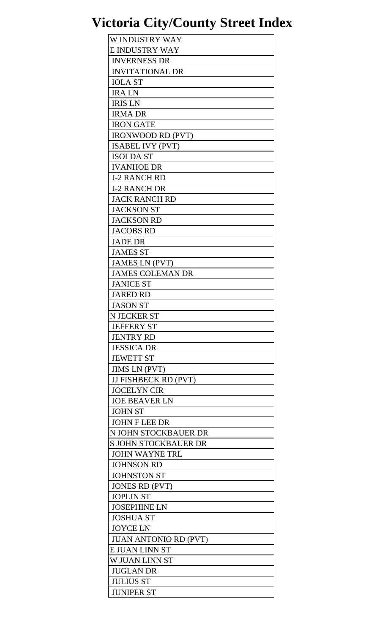| W INDUSTRY WAY               |
|------------------------------|
| <b>E INDUSTRY WAY</b>        |
| <b>INVERNESS DR</b>          |
| <b>INVITATIONAL DR</b>       |
| <b>IOLA ST</b>               |
| <b>IRALN</b>                 |
| <b>IRIS LN</b>               |
| <b>IRMA DR</b>               |
| <b>IRON GATE</b>             |
| <b>IRONWOOD RD (PVT)</b>     |
| <b>ISABEL IVY (PVT)</b>      |
|                              |
| <b>ISOLDA ST</b>             |
| <b>IVANHOE DR</b>            |
| <b>J-2 RANCH RD</b>          |
| <b>J-2 RANCH DR</b>          |
| <b>JACK RANCH RD</b>         |
| <b>JACKSON ST</b>            |
| <b>JACKSON RD</b>            |
| <b>JACOBS RD</b>             |
| <b>JADE DR</b>               |
| <b>JAMES ST</b>              |
| <b>JAMES LN (PVT)</b>        |
| <b>JAMES COLEMAN DR</b>      |
| <b>JANICE ST</b>             |
| <b>JARED RD</b>              |
| <b>JASON ST</b>              |
| <b>N JECKER ST</b>           |
| <b>JEFFERY ST</b>            |
| <b>JENTRY RD</b>             |
| <b>JESSICA DR</b>            |
| <b>JEWETT ST</b>             |
| <b>JIMS LN (PVT)</b>         |
| <b>JJ FISHBECK RD (PVT)</b>  |
| <b>JOCELYN CIR</b>           |
| <b>JOE BEAVER LN</b>         |
| <b>JOHN ST</b>               |
| <b>JOHN F LEE DR</b>         |
| N JOHN STOCKBAUER DR         |
| <b>S JOHN STOCKBAUER DR</b>  |
|                              |
| <b>JOHN WAYNE TRL</b>        |
| <b>JOHNSON RD</b>            |
| <b>JOHNSTON ST</b>           |
| <b>JONES RD (PVT)</b>        |
| <b>JOPLIN ST</b>             |
| <b>JOSEPHINE LN</b>          |
| <b>JOSHUA ST</b>             |
| <b>JOYCE LN</b>              |
| <b>JUAN ANTONIO RD (PVT)</b> |
| E JUAN LINN ST               |
| <b>W JUAN LINN ST</b>        |
| <b>JUGLAN DR</b>             |
| <b>JULIUS ST</b>             |
| <b>JUNIPER ST</b>            |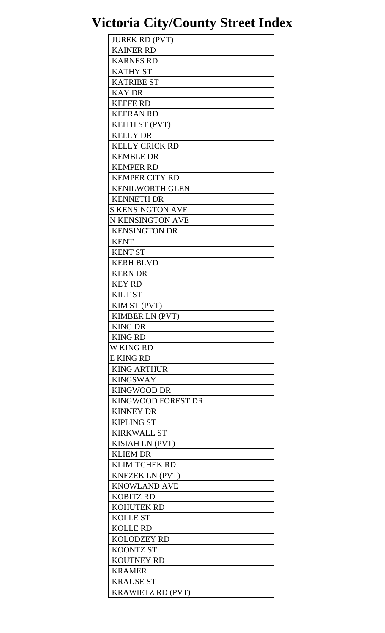| <b>JUREK RD (PVT)</b>    |
|--------------------------|
| <b>KAINER RD</b>         |
| <b>KARNES RD</b>         |
| <b>KATHY ST</b>          |
| <b>KATRIBE ST</b>        |
| <b>KAY DR</b>            |
| <b>KEEFE RD</b>          |
| <b>KEERAN RD</b>         |
| <b>KEITH ST (PVT)</b>    |
| <b>KELLY DR</b>          |
| <b>KELLY CRICK RD</b>    |
| <b>KEMBLE DR</b>         |
| <b>KEMPER RD</b>         |
| <b>KEMPER CITY RD</b>    |
| <b>KENILWORTH GLEN</b>   |
| <b>KENNETH DR</b>        |
|                          |
| <b>S KENSINGTON AVE</b>  |
| N KENSINGTON AVE         |
| <b>KENSINGTON DR</b>     |
| <b>KENT</b>              |
| <b>KENT ST</b>           |
| <b>KERH BLVD</b>         |
| <b>KERN DR</b>           |
| <b>KEY RD</b>            |
| <b>KILT ST</b>           |
| KIM ST (PVT)             |
| <b>KIMBER LN (PVT)</b>   |
| <b>KING DR</b>           |
| <b>KING RD</b>           |
| <b>W KING RD</b>         |
| <b>E KING RD</b>         |
| <b>KING ARTHUR</b>       |
| <b>KINGSWAY</b>          |
| <b>KINGWOOD DR</b>       |
| KINGWOOD FOREST DR       |
| <b>KINNEY DR</b>         |
| <b>KIPLING ST</b>        |
| <b>KIRKWALL ST</b>       |
| <b>KISIAH LN (PVT)</b>   |
| <b>KLIEM DR</b>          |
| <b>KLIMITCHEK RD</b>     |
| <b>KNEZEK LN (PVT)</b>   |
| <b>KNOWLAND AVE</b>      |
| <b>KOBITZ RD</b>         |
| <b>KOHUTEK RD</b>        |
| <b>KOLLE ST</b>          |
| <b>KOLLE RD</b>          |
| <b>KOLODZEY RD</b>       |
| <b>KOONTZ ST</b>         |
| <b>KOUTNEY RD</b>        |
| <b>KRAMER</b>            |
| <b>KRAUSE ST</b>         |
| <b>KRAWIETZ RD (PVT)</b> |
|                          |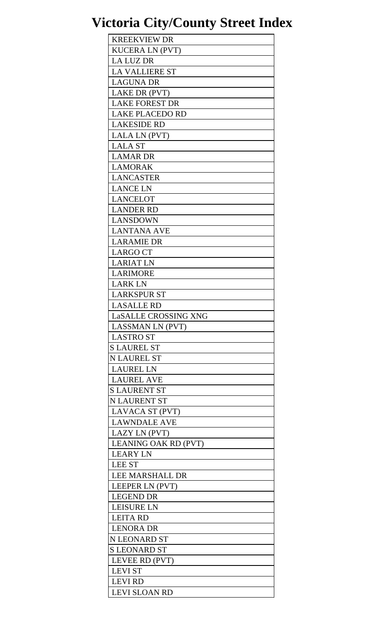| <b>KREEKVIEW DR</b>     |
|-------------------------|
| <b>KUCERA LN (PVT)</b>  |
| <b>LA LUZ DR</b>        |
| <b>LA VALLIERE ST</b>   |
| <b>LAGUNA DR</b>        |
| LAKE DR (PVT)           |
| <b>LAKE FOREST DR</b>   |
| <b>LAKE PLACEDO RD</b>  |
| <b>LAKESIDE RD</b>      |
| LALA LN (PVT)           |
| <b>LALA ST</b>          |
|                         |
| <b>LAMAR DR</b>         |
| <b>LAMORAK</b>          |
| <b>LANCASTER</b>        |
| <b>LANCE LN</b>         |
| <b>LANCELOT</b>         |
| <b>LANDER RD</b>        |
| <b>LANSDOWN</b>         |
| <b>LANTANA AVE</b>      |
| <b>LARAMIE DR</b>       |
| <b>LARGO CT</b>         |
| <b>LARIAT LN</b>        |
| <b>LARIMORE</b>         |
| <b>LARK LN</b>          |
| <b>LARKSPUR ST</b>      |
| <b>LASALLE RD</b>       |
| LaSALLE CROSSING XNG    |
| <b>LASSMAN LN (PVT)</b> |
| <b>LASTRO ST</b>        |
| <b>S LAUREL ST</b>      |
| <b>N LAUREL ST</b>      |
| <b>LAUREL LN</b>        |
| <b>LAUREL AVE</b>       |
| <b>S LAURENT ST</b>     |
| <b>N LAURENT ST</b>     |
| LAVACA ST (PVT)         |
| <b>LAWNDALE AVE</b>     |
|                         |
| LAZY LN (PVT)           |
| LEANING OAK RD (PVT)    |
| <b>LEARY LN</b>         |
| <b>LEE ST</b>           |
| <b>LEE MARSHALL DR</b>  |
| LEEPER LN (PVT)         |
| <b>LEGEND DR</b>        |
| <b>LEISURE LN</b>       |
| <b>LEITA RD</b>         |
| <b>LENORA DR</b>        |
| N LEONARD ST            |
| <b>S LEONARD ST</b>     |
| LEVEE RD (PVT)          |
| <b>LEVI ST</b>          |
| <b>LEVI RD</b>          |
| LEVI SLOAN RD           |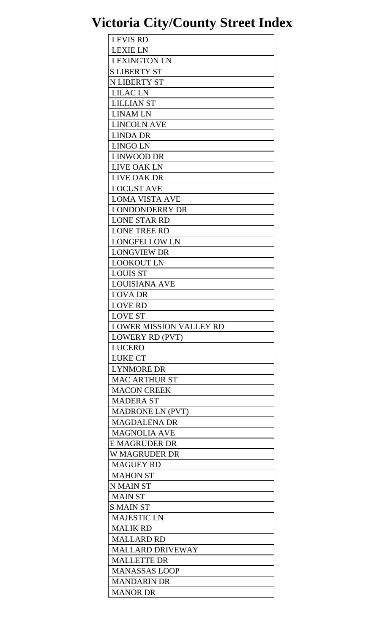| <b>LEVIS RD</b>                |
|--------------------------------|
| <b>LEXIE LN</b>                |
| <b>LEXINGTON LN</b>            |
| <b>S LIBERTY ST</b>            |
| <b>N LIBERTY ST</b>            |
| <b>LILAC LN</b>                |
| <b>LILLIAN ST</b>              |
| <b>LINAM LN</b>                |
| <b>LINCOLN AVE</b>             |
| <b>LINDA DR</b>                |
| LINGO LN                       |
| <b>LINWOOD DR</b>              |
| <b>LIVE OAK LN</b>             |
|                                |
| <b>LIVE OAK DR</b>             |
| <b>LOCUST AVE</b>              |
| <b>LOMA VISTA AVE</b>          |
| <b>LONDONDERRY DR</b>          |
| <b>LONE STAR RD</b>            |
| <b>LONE TREE RD</b>            |
| <b>LONGFELLOW LN</b>           |
| <b>LONGVIEW DR</b>             |
| <b>LOOKOUT LN</b>              |
| <b>LOUIS ST</b>                |
| <b>LOUISIANA AVE</b>           |
| <b>LOVA DR</b>                 |
| <b>LOVE RD</b>                 |
| <b>LOVE ST</b>                 |
| <b>LOWER MISSION VALLEY RD</b> |
| <b>LOWERY RD (PVT)</b>         |
| LUCERO                         |
| <b>LUKE CT</b>                 |
| <b>LYNMORE DR</b>              |
| <b>MAC ARTHUR ST</b>           |
| <b>MACON CREEK</b>             |
| <b>MADERA ST</b>               |
| <b>MADRONE LN (PVT)</b>        |
| <b>MAGDALENA DR</b>            |
| <b>MAGNOLIA AVE</b>            |
| E MAGRUDER DR                  |
| W MAGRUDER DR                  |
| <b>MAGUEY RD</b>               |
| <b>MAHON ST</b>                |
| <b>N MAIN ST</b>               |
| <b>MAIN ST</b>                 |
|                                |
| S MAIN ST                      |
| <b>MAJESTIC LN</b>             |
| <b>MALIK RD</b>                |
| <b>MALLARD RD</b>              |
| <b>MALLARD DRIVEWAY</b>        |
| <b>MALLETTE DR</b>             |
| <b>MANASSAS LOOP</b>           |
|                                |
| <b>MANDARIN DR</b>             |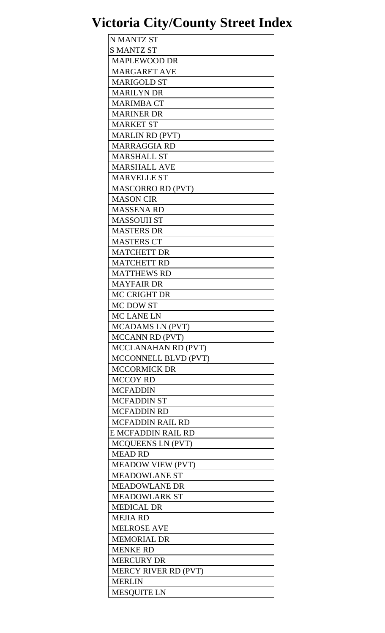| N MANTZ ST                  |
|-----------------------------|
| <b>S MANTZ ST</b>           |
| <b>MAPLEWOOD DR</b>         |
| <b>MARGARET AVE</b>         |
| <b>MARIGOLD ST</b>          |
| <b>MARILYN DR</b>           |
| <b>MARIMBA CT</b>           |
| <b>MARINER DR</b>           |
| <b>MARKET ST</b>            |
| <b>MARLIN RD (PVT)</b>      |
| <b>MARRAGGIA RD</b>         |
|                             |
| <b>MARSHALL ST</b>          |
| <b>MARSHALL AVE</b>         |
| <b>MARVELLE ST</b>          |
| <b>MASCORRO RD (PVT)</b>    |
| <b>MASON CIR</b>            |
| <b>MASSENA RD</b>           |
| <b>MASSOUH ST</b>           |
| <b>MASTERS DR</b>           |
| <b>MASTERS CT</b>           |
| <b>MATCHETT DR</b>          |
| <b>MATCHETT RD</b>          |
| <b>MATTHEWS RD</b>          |
| <b>MAYFAIR DR</b>           |
| <b>MC CRIGHT DR</b>         |
| MC DOW ST                   |
| MC LANE LN                  |
| <b>MCADAMS LN (PVT)</b>     |
| <b>MCCANN RD (PVT)</b>      |
| MCCLANAHAN RD (PVT)         |
| MCCONNELL BLVD (PVT)        |
| <b>MCCORMICK DR</b>         |
| <b>MCCOY RD</b>             |
| <b>MCFADDIN</b>             |
| <b>MCFADDIN ST</b>          |
| <b>MCFADDIN RD</b>          |
|                             |
| <b>MCFADDIN RAIL RD</b>     |
| E MCFADDIN RAIL RD          |
| <b>MCQUEENS LN (PVT)</b>    |
| <b>MEAD RD</b>              |
| <b>MEADOW VIEW (PVT)</b>    |
| <b>MEADOWLANE ST</b>        |
| <b>MEADOWLANE DR</b>        |
| <b>MEADOWLARK ST</b>        |
| <b>MEDICAL DR</b>           |
| <b>MEJIA RD</b>             |
| <b>MELROSE AVE</b>          |
| <b>MEMORIAL DR</b>          |
| <b>MENKE RD</b>             |
| <b>MERCURY DR</b>           |
| <b>MERCY RIVER RD (PVT)</b> |
| <b>MERLIN</b>               |
| <b>MESQUITE LN</b>          |
|                             |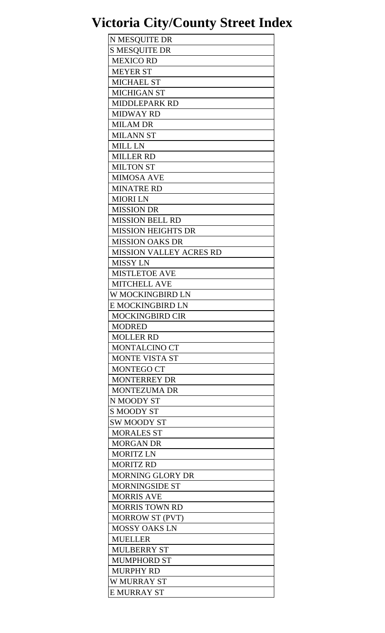| N MESQUITE DR                  |
|--------------------------------|
| <b>S MESQUITE DR</b>           |
| <b>MEXICO RD</b>               |
| <b>MEYER ST</b>                |
| <b>MICHAEL ST</b>              |
| <b>MICHIGAN ST</b>             |
| <b>MIDDLEPARK RD</b>           |
| <b>MIDWAY RD</b>               |
| <b>MILAM DR</b>                |
| <b>MILANN ST</b>               |
| <b>MILL LN</b>                 |
| <b>MILLER RD</b>               |
| <b>MILTON ST</b>               |
| <b>MIMOSA AVE</b>              |
| <b>MINATRE RD</b>              |
| <b>MIORI LN</b>                |
| <b>MISSION DR</b>              |
| <b>MISSION BELL RD</b>         |
| <b>MISSION HEIGHTS DR</b>      |
| <b>MISSION OAKS DR</b>         |
| <b>MISSION VALLEY ACRES RD</b> |
| <b>MISSY LN</b>                |
| <b>MISTLETOE AVE</b>           |
| <b>MITCHELL AVE</b>            |
| W MOCKINGBIRD LN               |
| E MOCKINGBIRD LN               |
| <b>MOCKINGBIRD CIR</b>         |
| <b>MODRED</b>                  |
| <b>MOLLER RD</b>               |
| <b>MONTALCINO CT</b>           |
| <b>MONTE VISTA ST</b>          |
| <b>MONTEGO CT</b>              |
| <b>MONTERREY DR</b>            |
| <b>MONTEZUMA DR</b>            |
| N MOODY ST                     |
| <b>S MOODY ST</b>              |
| <b>SW MOODY ST</b>             |
| <b>MORALES ST</b>              |
| <b>MORGAN DR</b>               |
| <b>MORITZ LN</b>               |
| <b>MORITZ RD</b>               |
| <b>MORNING GLORY DR</b>        |
| <b>MORNINGSIDE ST</b>          |
| <b>MORRIS AVE</b>              |
| <b>MORRIS TOWN RD</b>          |
| <b>MORROW ST (PVT)</b>         |
| <b>MOSSY OAKS LN</b>           |
| <b>MUELLER</b>                 |
| <b>MULBERRY ST</b>             |
| <b>MUMPHORD ST</b>             |
| <b>MURPHY RD</b>               |
| <b>W MURRAY ST</b>             |
| <b>E MURRAY ST</b>             |
|                                |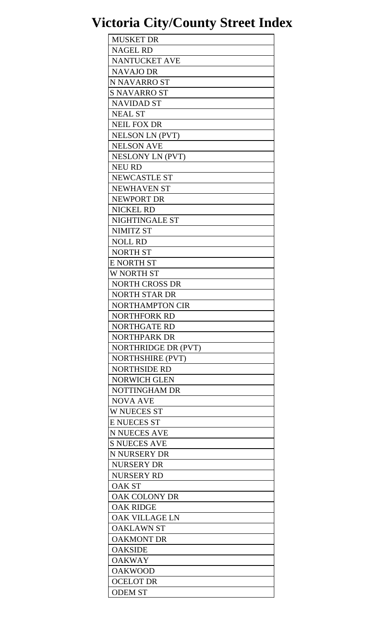| <b>MUSKET DR</b>        |
|-------------------------|
| <b>NAGEL RD</b>         |
| <b>NANTUCKET AVE</b>    |
| <b>NAVAJO DR</b>        |
| <b>N NAVARRO ST</b>     |
| <b>S NAVARRO ST</b>     |
| <b>NAVIDAD ST</b>       |
| <b>NEAL ST</b>          |
| <b>NEIL FOX DR</b>      |
| <b>NELSON LN (PVT)</b>  |
| <b>NELSON AVE</b>       |
| <b>NESLONY LN (PVT)</b> |
| <b>NEU RD</b>           |
| <b>NEWCASTLE ST</b>     |
| <b>NEWHAVEN ST</b>      |
| <b>NEWPORT DR</b>       |
|                         |
| <b>NICKEL RD</b>        |
| NIGHTINGALE ST          |
| <b>NIMITZ ST</b>        |
| <b>NOLL RD</b>          |
| <b>NORTH ST</b>         |
| <b>E NORTH ST</b>       |
| <b>W NORTH ST</b>       |
| <b>NORTH CROSS DR</b>   |
| <b>NORTH STAR DR</b>    |
| <b>NORTHAMPTON CIR</b>  |
| NORTHFORK RD            |
| <b>NORTHGATE RD</b>     |
| <b>NORTHPARK DR</b>     |
| NORTHRIDGE DR (PVT)     |
| <b>NORTHSHIRE (PVT)</b> |
| <b>NORTHSIDE RD</b>     |
| <b>NORWICH GLEN</b>     |
| NOTTINGHAM DR           |
| <b>NOVA AVE</b>         |
| <b>W NUECES ST</b>      |
| <b>E NUECES ST</b>      |
| <b>N NUECES AVE</b>     |
| <b>S NUECES AVE</b>     |
| N NURSERY DR            |
| <b>NURSERY DR</b>       |
| <b>NURSERY RD</b>       |
| <b>OAK ST</b>           |
| <b>OAK COLONY DR</b>    |
| <b>OAK RIDGE</b>        |
| <b>OAK VILLAGE LN</b>   |
| <b>OAKLAWN ST</b>       |
| <b>OAKMONT DR</b>       |
| <b>OAKSIDE</b>          |
| <b>OAKWAY</b>           |
| <b>OAKWOOD</b>          |
| <b>OCELOT DR</b>        |
| <b>ODEM ST</b>          |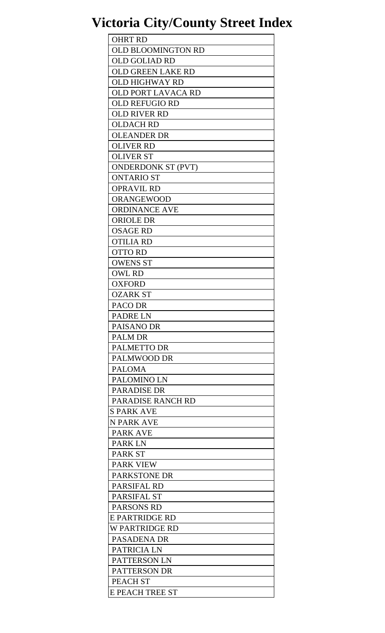| <b>OHRT RD</b>            |
|---------------------------|
| <b>OLD BLOOMINGTON RD</b> |
| <b>OLD GOLIAD RD</b>      |
| <b>OLD GREEN LAKE RD</b>  |
| OLD HIGHWAY RD            |
| <b>OLD PORT LAVACA RD</b> |
| <b>OLD REFUGIO RD</b>     |
| <b>OLD RIVER RD</b>       |
| <b>OLDACH RD</b>          |
| <b>OLEANDER DR</b>        |
| <b>OLIVER RD</b>          |
| <b>OLIVER ST</b>          |
| <b>ONDERDONK ST (PVT)</b> |
| <b>ONTARIO ST</b>         |
| <b>OPRAVIL RD</b>         |
| <b>ORANGEWOOD</b>         |
| <b>ORDINANCE AVE</b>      |
| <b>ORIOLE DR</b>          |
| <b>OSAGE RD</b>           |
| <b>OTILIA RD</b>          |
| <b>OTTO RD</b>            |
| <b>OWENS ST</b>           |
| <b>OWL RD</b>             |
| <b>OXFORD</b>             |
| <b>OZARK ST</b>           |
| PACO DR                   |
| PADRE LN                  |
| <b>PAISANO DR</b>         |
| <b>PALM DR</b>            |
| <b>PALMETTO DR</b>        |
| PALMWOOD DR               |
| <b>PALOMA</b>             |
| PALOMINO LN               |
| <b>PARADISE DR</b>        |
| PARADISE RANCH RD         |
| <b>S PARK AVE</b>         |
| N PARK AVE                |
| <b>PARK AVE</b>           |
| <b>PARKLN</b>             |
| <b>PARK ST</b>            |
| <b>PARK VIEW</b>          |
| <b>PARKSTONE DR</b>       |
| <b>PARSIFAL RD</b>        |
| PARSIFAL ST               |
| <b>PARSONS RD</b>         |
| <b>E PARTRIDGE RD</b>     |
| W PARTRIDGE RD            |
| <b>PASADENA DR</b>        |
| PATRICIA LN               |
| PATTERSON LN              |
| <b>PATTERSON DR</b>       |
| <b>PEACH ST</b>           |
| E PEACH TREE ST           |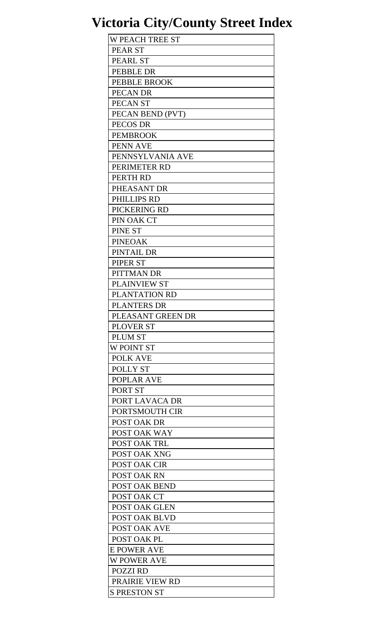| <b>W PEACH TREE ST</b> |
|------------------------|
| <b>PEAR ST</b>         |
| <b>PEARL ST</b>        |
| <b>PEBBLE DR</b>       |
| <b>PEBBLE BROOK</b>    |
| PECAN DR               |
| PECAN ST               |
| PECAN BEND (PVT)       |
| PECOS DR               |
| <b>PEMBROOK</b>        |
| PENN AVE               |
|                        |
| PENNSYLVANIA AVE       |
| PERIMETER RD           |
| PERTH RD               |
| PHEASANT DR            |
| PHILLIPS RD            |
| PICKERING RD           |
| PIN OAK CT             |
| <b>PINE ST</b>         |
| <b>PINEOAK</b>         |
| PINTAIL DR             |
| PIPER ST               |
| PITTMAN DR             |
| <b>PLAINVIEW ST</b>    |
| PLANTATION RD          |
| <b>PLANTERS DR</b>     |
| PLEASANT GREEN DR      |
| <b>PLOVER ST</b>       |
| <b>PLUM ST</b>         |
| W POINT ST             |
| <b>POLK AVE</b>        |
| POLLY ST               |
| <b>POPLAR AVE</b>      |
| PORT ST                |
|                        |
| PORT LAVACA DR         |
| PORTSMOUTH CIR         |
| POST OAK DR            |
| POST OAK WAY           |
| POST OAK TRL           |
| POST OAK XNG           |
| <b>POST OAK CIR</b>    |
| POST OAK RN            |
| POST OAK BEND          |
| POST OAK CT            |
| <b>POST OAK GLEN</b>   |
| <b>POST OAK BLVD</b>   |
| <b>POST OAK AVE</b>    |
| POST OAK PL            |
| <b>E POWER AVE</b>     |
| <b>W POWER AVE</b>     |
| <b>POZZI RD</b>        |
| <b>PRAIRIE VIEW RD</b> |
| <b>S PRESTON ST</b>    |
|                        |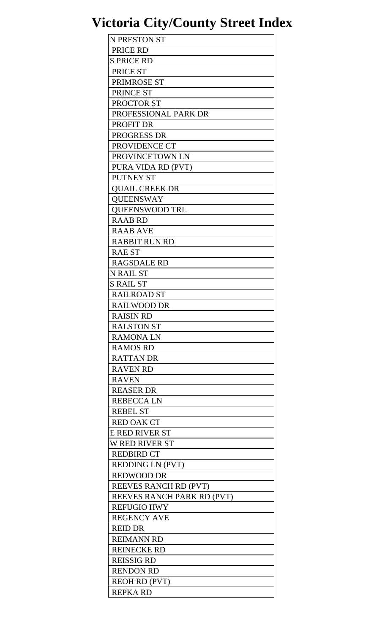| N PRESTON ST               |
|----------------------------|
| PRICE RD                   |
| <b>S PRICE RD</b>          |
| PRICE ST                   |
| PRIMROSE ST                |
| PRINCE ST                  |
| PROCTOR ST                 |
| PROFESSIONAL PARK DR       |
| <b>PROFIT DR</b>           |
| <b>PROGRESS DR</b>         |
| PROVIDENCE CT              |
|                            |
| PROVINCETOWN LN            |
| PURA VIDA RD (PVT)         |
| <b>PUTNEY ST</b>           |
| <b>QUAIL CREEK DR</b>      |
| <b>OUEENSWAY</b>           |
| <b>OUEENSWOOD TRL</b>      |
| <b>RAAB RD</b>             |
| <b>RAAB AVE</b>            |
| <b>RABBIT RUN RD</b>       |
| <b>RAE ST</b>              |
| <b>RAGSDALE RD</b>         |
| <b>N RAIL ST</b>           |
| <b>S RAIL ST</b>           |
| <b>RAILROAD ST</b>         |
| <b>RAILWOOD DR</b>         |
| <b>RAISIN RD</b>           |
| <b>RALSTON ST</b>          |
| <b>RAMONALN</b>            |
| <b>RAMOS RD</b>            |
| <b>RATTAN DR</b>           |
| <b>RAVEN RD</b>            |
|                            |
| <b>RAVEN</b>               |
| <b>REASER DR</b>           |
| <b>REBECCALN</b>           |
| <b>REBEL ST</b>            |
| <b>RED OAK CT</b>          |
| <b>E RED RIVER ST</b>      |
| <b>W RED RIVER ST</b>      |
| <b>REDBIRD CT</b>          |
| REDDING LN (PVT)           |
| <b>REDWOOD DR</b>          |
| REEVES RANCH RD (PVT)      |
| REEVES RANCH PARK RD (PVT) |
| <b>REFUGIO HWY</b>         |
| <b>REGENCY AVE</b>         |
| <b>REID DR</b>             |
| <b>REIMANN RD</b>          |
| <b>REINECKE RD</b>         |
| <b>REISSIG RD</b>          |
| <b>RENDON RD</b>           |
| <b>REOH RD (PVT)</b>       |
| <b>REPKA RD</b>            |
|                            |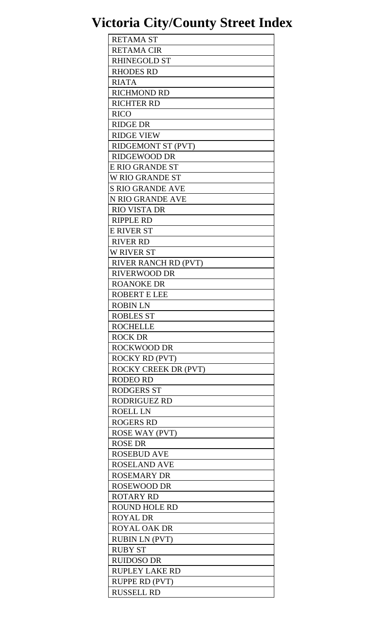| <b>RETAMA ST</b>          |
|---------------------------|
| <b>RETAMA CIR</b>         |
| <b>RHINEGOLD ST</b>       |
| <b>RHODES RD</b>          |
| <b>RIATA</b>              |
| <b>RICHMOND RD</b>        |
| <b>RICHTER RD</b>         |
| <b>RICO</b>               |
| <b>RIDGE DR</b>           |
|                           |
| <b>RIDGE VIEW</b>         |
| <b>RIDGEMONT ST (PVT)</b> |
| <b>RIDGEWOOD DR</b>       |
| E RIO GRANDE ST           |
| W RIO GRANDE ST           |
| <b>S RIO GRANDE AVE</b>   |
| N RIO GRANDE AVE          |
| <b>RIO VISTA DR</b>       |
| <b>RIPPLE RD</b>          |
| <b>E RIVER ST</b>         |
| <b>RIVER RD</b>           |
| <b>W RIVER ST</b>         |
| RIVER RANCH RD (PVT)      |
| <b>RIVERWOOD DR</b>       |
| <b>ROANOKE DR</b>         |
| <b>ROBERT E LEE</b>       |
| <b>ROBIN LN</b>           |
| <b>ROBLES ST</b>          |
| <b>ROCHELLE</b>           |
| <b>ROCK DR</b>            |
| <b>ROCKWOOD DR</b>        |
| <b>ROCKY RD (PVT)</b>     |
| ROCKY CREEK DR (PVT)      |
| <b>RODEO RD</b>           |
| <b>RODGERS ST</b>         |
| <b>RODRIGUEZ RD</b>       |
|                           |
| <b>ROELL LN</b>           |
| <b>ROGERS RD</b>          |
| <b>ROSE WAY (PVT)</b>     |
| <b>ROSE DR</b>            |
| <b>ROSEBUD AVE</b>        |
| <b>ROSELAND AVE</b>       |
| <b>ROSEMARY DR</b>        |
| <b>ROSEWOOD DR</b>        |
| <b>ROTARY RD</b>          |
| <b>ROUND HOLE RD</b>      |
| <b>ROYAL DR</b>           |
| <b>ROYAL OAK DR</b>       |
| <b>RUBIN LN (PVT)</b>     |
| <b>RUBY ST</b>            |
| <b>RUIDOSO DR</b>         |
| <b>RUPLEY LAKE RD</b>     |
| RUPPE RD (PVT)            |
| <b>RUSSELL RD</b>         |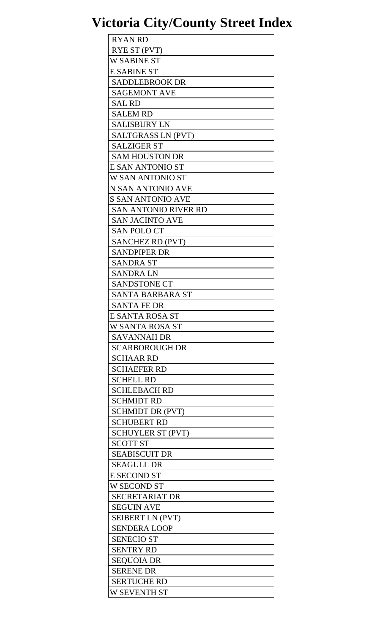| <b>RYAN RD</b>              |
|-----------------------------|
| RYE ST (PVT)                |
| <b>W SABINE ST</b>          |
| <b>E SABINE ST</b>          |
| <b>SADDLEBROOK DR</b>       |
| <b>SAGEMONT AVE</b>         |
| <b>SAL RD</b>               |
| <b>SALEM RD</b>             |
| <b>SALISBURY LN</b>         |
| <b>SALTGRASS LN (PVT)</b>   |
| <b>SALZIGER ST</b>          |
| <b>SAM HOUSTON DR</b>       |
| E SAN ANTONIO ST            |
|                             |
| W SAN ANTONIO ST            |
| N SAN ANTONIO AVE           |
| <b>S SAN ANTONIO AVE</b>    |
| <b>SAN ANTONIO RIVER RD</b> |
| <b>SAN JACINTO AVE</b>      |
| <b>SAN POLO CT</b>          |
| <b>SANCHEZ RD (PVT)</b>     |
| <b>SANDPIPER DR</b>         |
| <b>SANDRA ST</b>            |
| <b>SANDRA LN</b>            |
| <b>SANDSTONE CT</b>         |
| <b>SANTA BARBARA ST</b>     |
| <b>SANTA FE DR</b>          |
| E SANTA ROSA ST             |
| W SANTA ROSA ST             |
| <b>SAVANNAH DR</b>          |
| <b>SCARBOROUGH DR</b>       |
| <b>SCHAAR RD</b>            |
| <b>SCHAEFER RD</b>          |
| <b>SCHELL RD</b>            |
| <b>SCHLEBACH RD</b>         |
| <b>SCHMIDT RD</b>           |
| <b>SCHMIDT DR (PVT)</b>     |
| <b>SCHUBERT RD</b>          |
| <b>SCHUYLER ST (PVT)</b>    |
| <b>SCOTT ST</b>             |
| <b>SEABISCUIT DR</b>        |
| <b>SEAGULL DR</b>           |
| <b>E SECOND ST</b>          |
| W SECOND ST                 |
|                             |
| <b>SECRETARIAT DR</b>       |
| <b>SEGUIN AVE</b>           |
| SEIBERT LN (PVT)            |
| <b>SENDERA LOOP</b>         |
| <b>SENECIO ST</b>           |
| <b>SENTRY RD</b>            |
| <b>SEQUOIA DR</b>           |
| <b>SERENE DR</b>            |
| <b>SERTUCHE RD</b>          |
| W SEVENTH ST                |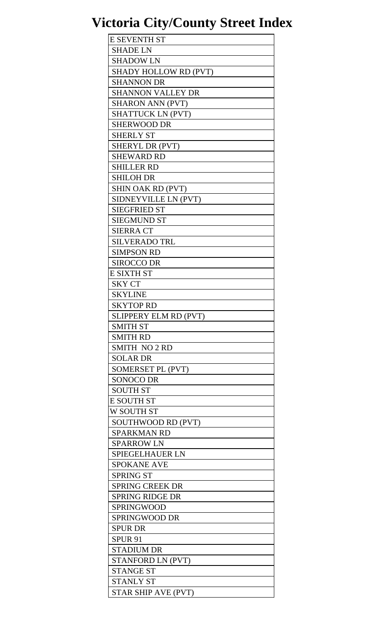| <b>E SEVENTH ST</b>          |
|------------------------------|
| <b>SHADE LN</b>              |
| <b>SHADOW LN</b>             |
| <b>SHADY HOLLOW RD (PVT)</b> |
| <b>SHANNON DR</b>            |
| <b>SHANNON VALLEY DR</b>     |
| <b>SHARON ANN (PVT)</b>      |
| <b>SHATTUCK LN (PVT)</b>     |
| <b>SHERWOOD DR</b>           |
| <b>SHERLY ST</b>             |
|                              |
| SHERYL DR (PVT)              |
| <b>SHEWARD RD</b>            |
| <b>SHILLER RD</b>            |
| <b>SHILOH DR</b>             |
| <b>SHIN OAK RD (PVT)</b>     |
| SIDNEYVILLE LN (PVT)         |
| <b>SIEGFRIED ST</b>          |
| <b>SIEGMUND ST</b>           |
| <b>SIERRA CT</b>             |
| <b>SILVERADO TRL</b>         |
| <b>SIMPSON RD</b>            |
| <b>SIROCCO DR</b>            |
| <b>E SIXTH ST</b>            |
| <b>SKY CT</b>                |
| <b>SKYLINE</b>               |
| <b>SKYTOP RD</b>             |
| SLIPPERY ELM RD (PVT)        |
| <b>SMITH ST</b>              |
| <b>SMITH RD</b>              |
|                              |
| <b>SMITH NO 2 RD</b>         |
| <b>SOLAR DR</b>              |
| SOMERSET PL (PVT)            |
| <b>SONOCO DR</b>             |
| <b>SOUTH ST</b>              |
| <b>E SOUTH ST</b>            |
| W SOUTH ST                   |
| SOUTHWOOD RD (PVT)           |
| <b>SPARKMAN RD</b>           |
| <b>SPARROW LN</b>            |
| <b>SPIEGELHAUER LN</b>       |
| <b>SPOKANE AVE</b>           |
| <b>SPRING ST</b>             |
| <b>SPRING CREEK DR</b>       |
| <b>SPRING RIDGE DR</b>       |
| <b>SPRINGWOOD</b>            |
| <b>SPRINGWOOD DR</b>         |
| <b>SPUR DR</b>               |
|                              |
| <b>SPUR 91</b>               |
| <b>STADIUM DR</b>            |
| STANFORD LN (PVT)            |
| <b>STANGE ST</b>             |
| <b>STANLY ST</b>             |
| <b>STAR SHIP AVE (PVT)</b>   |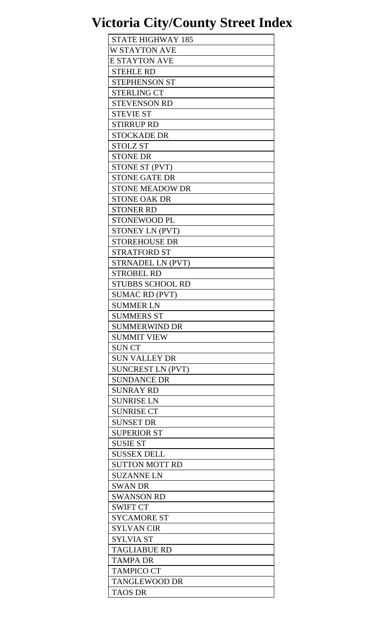| <b>STATE HIGHWAY 185</b> |  |
|--------------------------|--|
| W STAYTON AVE            |  |
| <b>E STAYTON AVE</b>     |  |
| <b>STEHLE RD</b>         |  |
| <b>STEPHENSON ST</b>     |  |
| <b>STERLING CT</b>       |  |
| <b>STEVENSON RD</b>      |  |
| <b>STEVIE ST</b>         |  |
| <b>STIRRUP RD</b>        |  |
| <b>STOCKADE DR</b>       |  |
| <b>STOLZ ST</b>          |  |
| <b>STONE DR</b>          |  |
|                          |  |
| STONE ST (PVT)           |  |
| <b>STONE GATE DR</b>     |  |
| <b>STONE MEADOW DR</b>   |  |
| <b>STONE OAK DR</b>      |  |
| <b>STONER RD</b>         |  |
| <b>STONEWOOD PL</b>      |  |
| STONEY LN (PVT)          |  |
| <b>STOREHOUSE DR</b>     |  |
| <b>STRATFORD ST</b>      |  |
| <b>STRNADEL LN (PVT)</b> |  |
| <b>STROBEL RD</b>        |  |
| <b>STUBBS SCHOOL RD</b>  |  |
| <b>SUMAC RD (PVT)</b>    |  |
| <b>SUMMER LN</b>         |  |
| <b>SUMMERS ST</b>        |  |
| <b>SUMMERWIND DR</b>     |  |
| <b>SUMMIT VIEW</b>       |  |
| <b>SUN CT</b>            |  |
| <b>SUN VALLEY DR</b>     |  |
| <b>SUNCREST LN (PVT)</b> |  |
| <b>SUNDANCE DR</b>       |  |
| <b>SUNRAY RD</b>         |  |
| <b>SUNRISE LN</b>        |  |
| <b>SUNRISE CT</b>        |  |
| <b>SUNSET DR</b>         |  |
| <b>SUPERIOR ST</b>       |  |
| <b>SUSIE ST</b>          |  |
| <b>SUSSEX DELL</b>       |  |
| <b>SUTTON MOTT RD</b>    |  |
| <b>SUZANNE LN</b>        |  |
| <b>SWAN DR</b>           |  |
| <b>SWANSON RD</b>        |  |
| <b>SWIFT CT</b>          |  |
| <b>SYCAMORE ST</b>       |  |
| <b>SYLVAN CIR</b>        |  |
| <b>SYLVIA ST</b>         |  |
| <b>TAGLIABUE RD</b>      |  |
| <b>TAMPA DR</b>          |  |
| <b>TAMPICO CT</b>        |  |
| <b>TANGLEWOOD DR</b>     |  |
| TAOS DR                  |  |
|                          |  |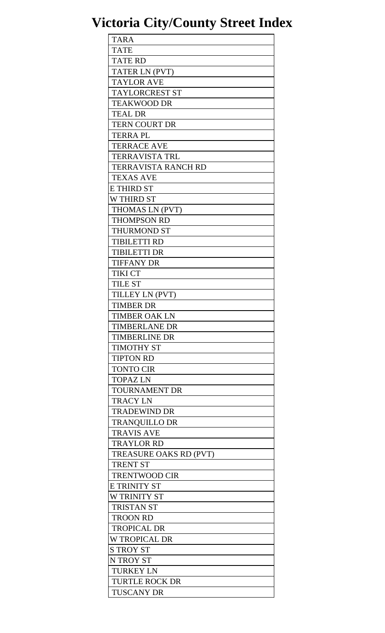| <b>TARA</b>                |
|----------------------------|
| <b>TATE</b>                |
| <b>TATE RD</b>             |
| TATER LN (PVT)             |
| <b>TAYLOR AVE</b>          |
| <b>TAYLORCREST ST</b>      |
| <b>TEAKWOOD DR</b>         |
| <b>TEAL DR</b>             |
| <b>TERN COURT DR</b>       |
| <b>TERRA PL</b>            |
| <b>TERRACE AVE</b>         |
| <b>TERRAVISTA TRL</b>      |
| <b>TERRAVISTA RANCH RD</b> |
| <b>TEXAS AVE</b>           |
|                            |
| <b>E THIRD ST</b>          |
| <b>W THIRD ST</b>          |
| THOMAS LN (PVT)            |
| <b>THOMPSON RD</b>         |
| <b>THURMOND ST</b>         |
| <b>TIBILETTI RD</b>        |
| <b>TIBILETTI DR</b>        |
| <b>TIFFANY DR</b>          |
| <b>TIKI CT</b>             |
| <b>TILE ST</b>             |
| TILLEY LN (PVT)            |
| <b>TIMBER DR</b>           |
| TIMBER OAK LN              |
| <b>TIMBERLANE DR</b>       |
| <b>TIMBERLINE DR</b>       |
| <b>TIMOTHY ST</b>          |
| <b>TIPTON RD</b>           |
| <b>TONTO CIR</b>           |
| <b>TOPAZ LN</b>            |
| <b>TOURNAMENT DR</b>       |
| <b>TRACY LN</b>            |
| <b>TRADEWIND DR</b>        |
| <b>TRANQUILLO DR</b>       |
| <b>TRAVIS AVE</b>          |
| <b>TRAYLOR RD</b>          |
|                            |
| TREASURE OAKS RD (PVT)     |
| <b>TRENT ST</b>            |
| <b>TRENTWOOD CIR</b>       |
| E TRINITY ST               |
| <b>W TRINITY ST</b>        |
| <b>TRISTAN ST</b>          |
| <b>TROON RD</b>            |
| <b>TROPICAL DR</b>         |
| <b>W TROPICAL DR</b>       |
| <b>S TROY ST</b>           |
| N TROY ST                  |
| <b>TURKEY LN</b>           |
| <b>TURTLE ROCK DR</b>      |
| <b>TUSCANY DR</b>          |
|                            |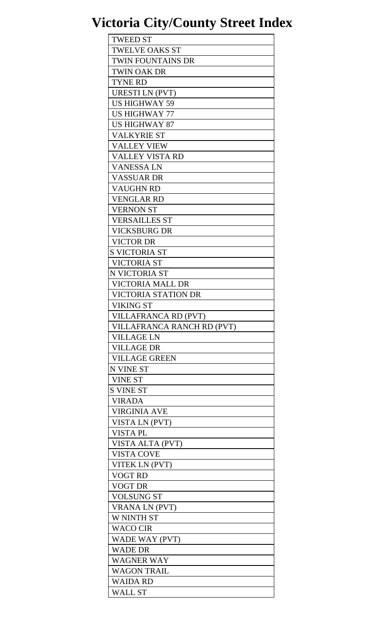| <b>TWEED ST</b>            |
|----------------------------|
| <b>TWELVE OAKS ST</b>      |
| TWIN FOUNTAINS DR          |
| <b>TWIN OAK DR</b>         |
| <b>TYNE RD</b>             |
| <b>URESTI LN (PVT)</b>     |
| <b>US HIGHWAY 59</b>       |
| <b>US HIGHWAY 77</b>       |
| <b>US HIGHWAY 87</b>       |
| <b>VALKYRIE ST</b>         |
| <b>VALLEY VIEW</b>         |
|                            |
| <b>VALLEY VISTA RD</b>     |
| VANESSA LN                 |
| VASSUAR DR                 |
| <b>VAUGHN RD</b>           |
| <b>VENGLAR RD</b>          |
| <b>VERNON ST</b>           |
| <b>VERSAILLES ST</b>       |
| <b>VICKSBURG DR</b>        |
| <b>VICTOR DR</b>           |
| <b>S VICTORIA ST</b>       |
| <b>VICTORIA ST</b>         |
| N VICTORIA ST              |
| <b>VICTORIA MALL DR</b>    |
| <b>VICTORIA STATION DR</b> |
| <b>VIKING ST</b>           |
| VILLAFRANCA RD (PVT)       |
| VILLAFRANCA RANCH RD (PVT) |
| <b>VILLAGE LN</b>          |
| <b>VILLAGE DR</b>          |
| <b>VILLAGE GREEN</b>       |
| <b>N VINE ST</b>           |
| <b>VINE ST</b>             |
| <b>S VINE ST</b>           |
| <b>VIRADA</b>              |
| <b>VIRGINIA AVE</b>        |
| VISTA LN (PVT)             |
| <b>VISTAPL</b>             |
|                            |
| VISTA ALTA (PVT)           |
| <b>VISTA COVE</b>          |
| VITEK LN (PVT)             |
| <b>VOGT RD</b>             |
| <b>VOGT DR</b>             |
| <b>VOLSUNG ST</b>          |
| <b>VRANA LN (PVT)</b>      |
| W NINTH ST                 |
| <b>WACO CIR</b>            |
| WADE WAY (PVT)             |
| <b>WADE DR</b>             |
| <b>WAGNER WAY</b>          |
| <b>WAGON TRAIL</b>         |
| WAIDA RD                   |
| WALL ST                    |
|                            |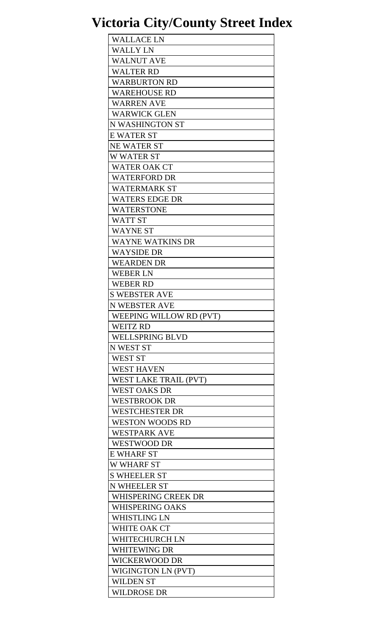| <b>WALLACE LN</b>          |
|----------------------------|
| <b>WALLY LN</b>            |
| <b>WALNUT AVE</b>          |
| WALTER RD                  |
| <b>WARBURTON RD</b>        |
| <b>WAREHOUSE RD</b>        |
| <b>WARREN AVE</b>          |
| <b>WARWICK GLEN</b>        |
| N WASHINGTON ST            |
| <b>E WATER ST</b>          |
| <b>NE WATER ST</b>         |
|                            |
| <b>W WATER ST</b>          |
| <b>WATER OAK CT</b>        |
| <b>WATERFORD DR</b>        |
| WATERMARK ST               |
| <b>WATERS EDGE DR</b>      |
| <b>WATERSTONE</b>          |
| <b>WATT ST</b>             |
| <b>WAYNE ST</b>            |
| <b>WAYNE WATKINS DR</b>    |
| WAYSIDE DR                 |
| <b>WEARDEN DR</b>          |
| <b>WEBER LN</b>            |
| <b>WEBER RD</b>            |
| <b>S WEBSTER AVE</b>       |
| <b>N WEBSTER AVE</b>       |
| WEEPING WILLOW RD (PVT)    |
| <b>WEITZ RD</b>            |
| <b>WELLSPRING BLVD</b>     |
| <b>N WEST ST</b>           |
| <b>WEST ST</b>             |
| <b>WEST HAVEN</b>          |
| WEST LAKE TRAIL (PVT)      |
| <b>WEST OAKS DR</b>        |
|                            |
| <b>WESTBROOK DR</b>        |
| <b>WESTCHESTER DR</b>      |
| <b>WESTON WOODS RD</b>     |
| <b>WESTPARK AVE</b>        |
| <b>WESTWOOD DR</b>         |
| <b>E WHARF ST</b>          |
| <b>W WHARF ST</b>          |
| <b>S WHEELER ST</b>        |
| N WHEELER ST               |
| <b>WHISPERING CREEK DR</b> |
| <b>WHISPERING OAKS</b>     |
| <b>WHISTLING LN</b>        |
| WHITE OAK CT               |
| WHITECHURCH LN             |
| <b>WHITEWING DR</b>        |
| <b>WICKERWOOD DR</b>       |
| <b>WIGINGTON LN (PVT)</b>  |
| <b>WILDEN ST</b>           |
| <b>WILDROSE DR</b>         |
|                            |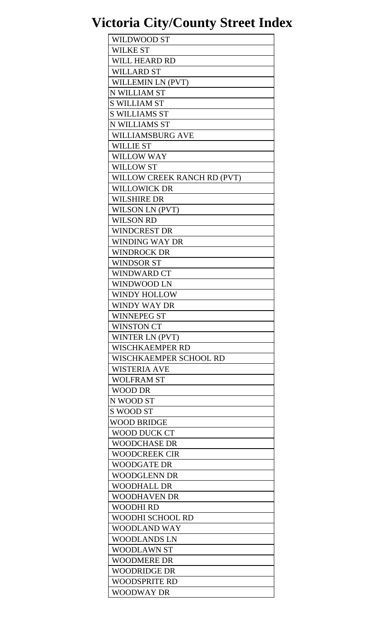| <b>WILDWOOD ST</b>          |
|-----------------------------|
| <b>WILKE ST</b>             |
| <b>WILL HEARD RD</b>        |
| <b>WILLARD ST</b>           |
| WILLEMIN LN (PVT)           |
| N WILLIAM ST                |
| <b>S WILLIAM ST</b>         |
| <b>S WILLIAMS ST</b>        |
| N WILLIAMS ST               |
| <b>WILLIAMSBURG AVE</b>     |
| <b>WILLIE ST</b>            |
|                             |
| <b>WILLOW WAY</b>           |
| <b>WILLOW ST</b>            |
| WILLOW CREEK RANCH RD (PVT) |
| <b>WILLOWICK DR</b>         |
| <b>WILSHIRE DR</b>          |
| <b>WILSON LN (PVT)</b>      |
| <b>WILSON RD</b>            |
| <b>WINDCREST DR</b>         |
| WINDING WAY DR              |
| <b>WINDROCK DR</b>          |
| <b>WINDSOR ST</b>           |
| <b>WINDWARD CT</b>          |
| <b>WINDWOOD LN</b>          |
| <b>WINDY HOLLOW</b>         |
| WINDY WAY DR                |
| <b>WINNEPEG ST</b>          |
| <b>WINSTON CT</b>           |
| WINTER LN (PVT)             |
| WISCHKAEMPER RD             |
| WISCHKAEMPER SCHOOL RD      |
| WISTERIA AVE                |
| <b>WOLFRAM ST</b>           |
| <b>WOOD DR</b>              |
| N WOOD ST                   |
| S WOOD ST                   |
|                             |
| WOOD BRIDGE                 |
| WOOD DUCK CT                |
| <b>WOODCHASE DR</b>         |
| <b>WOODCREEK CIR</b>        |
| WOODGATE DR                 |
| WOODGLENN DR                |
| <b>WOODHALL DR</b>          |
| <b>WOODHAVEN DR</b>         |
| WOODHI RD                   |
| WOODHI SCHOOL RD            |
| <b>WOODLAND WAY</b>         |
| WOODLANDS LN                |
| <b>WOODLAWN ST</b>          |
| <b>WOODMERE DR</b>          |
| <b>WOODRIDGE DR</b>         |
| <b>WOODSPRITE RD</b>        |
| WOODWAY DR                  |